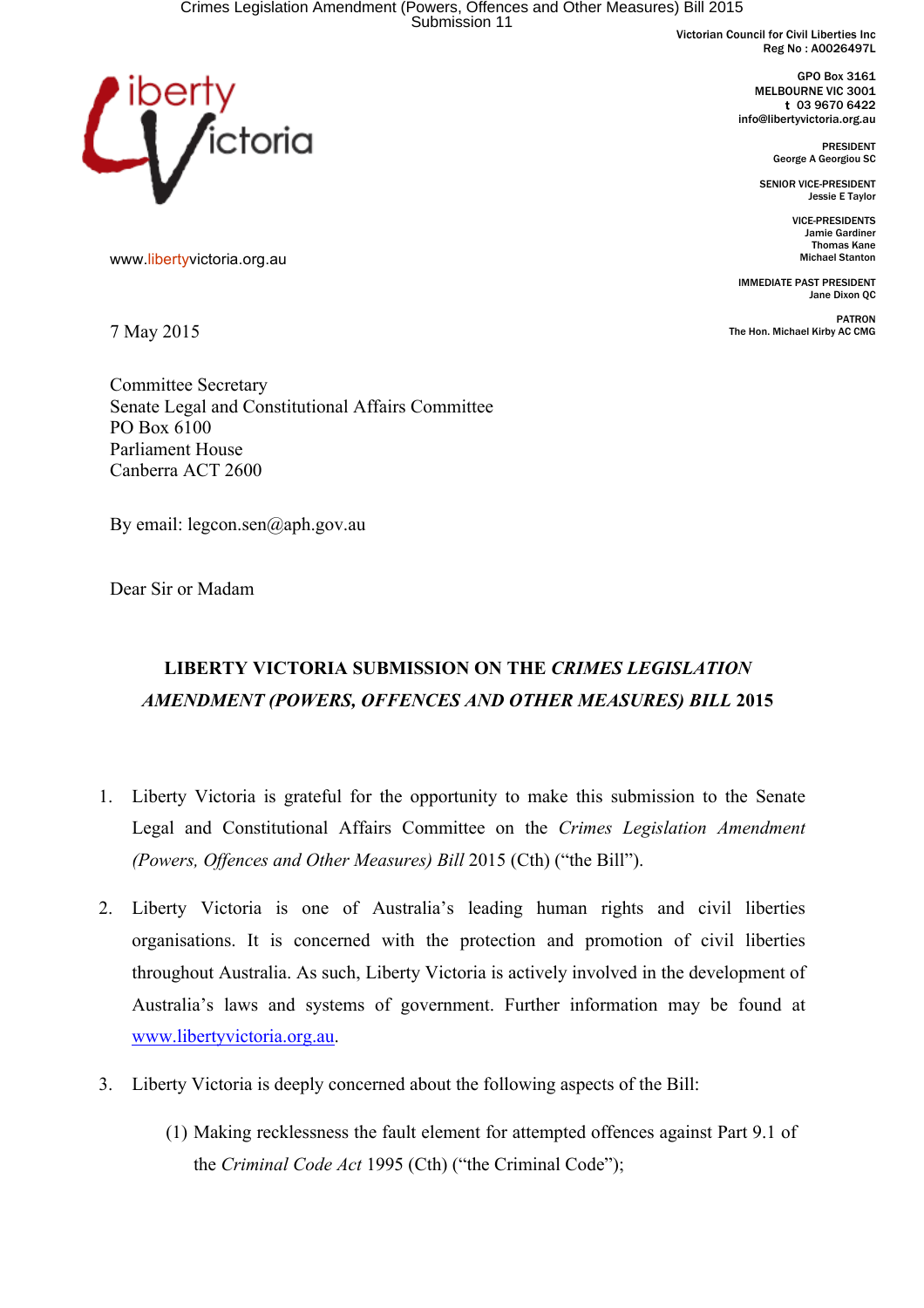Victorian Council for Civil Liberties Inc Reg No : A0026497L

> GPO Box 3161 MELBOURNE VIC 3001 t 03 9670 6422 info@libertyvictoria.org.au

> > PRESIDENT George A Georgiou SC

SENIOR VICE-PRESIDENT Jessie E Taylor

> VICE-PRESIDENTS Jamie Gardiner Thomas Kane Michael Stanton

IMMEDIATE PAST PRESIDENT Jane Dixon QC

PATRON The Hon. Michael Kirby AC CMG



www.libertyvictoria.org.au

7 May 2015

Committee Secretary Senate Legal and Constitutional Affairs Committee PO Box 6100 Parliament House Canberra ACT 2600

By email: legcon.sen@aph.gov.au

Dear Sir or Madam

# **LIBERTY VICTORIA SUBMISSION ON THE** *CRIMES LEGISLATION AMENDMENT (POWERS, OFFENCES AND OTHER MEASURES) BILL* **2015**

- 1. Liberty Victoria is grateful for the opportunity to make this submission to the Senate Legal and Constitutional Affairs Committee on the *Crimes Legislation Amendment (Powers, Offences and Other Measures) Bill* 2015 (Cth) ("the Bill").
- 2. Liberty Victoria is one of Australia's leading human rights and civil liberties organisations. It is concerned with the protection and promotion of civil liberties throughout Australia. As such, Liberty Victoria is actively involved in the development of Australia's laws and systems of government. Further information may be found at www.libertyvictoria.org.au.
- 3. Liberty Victoria is deeply concerned about the following aspects of the Bill:
	- (1) Making recklessness the fault element for attempted offences against Part 9.1 of the *Criminal Code Act* 1995 (Cth) ("the Criminal Code");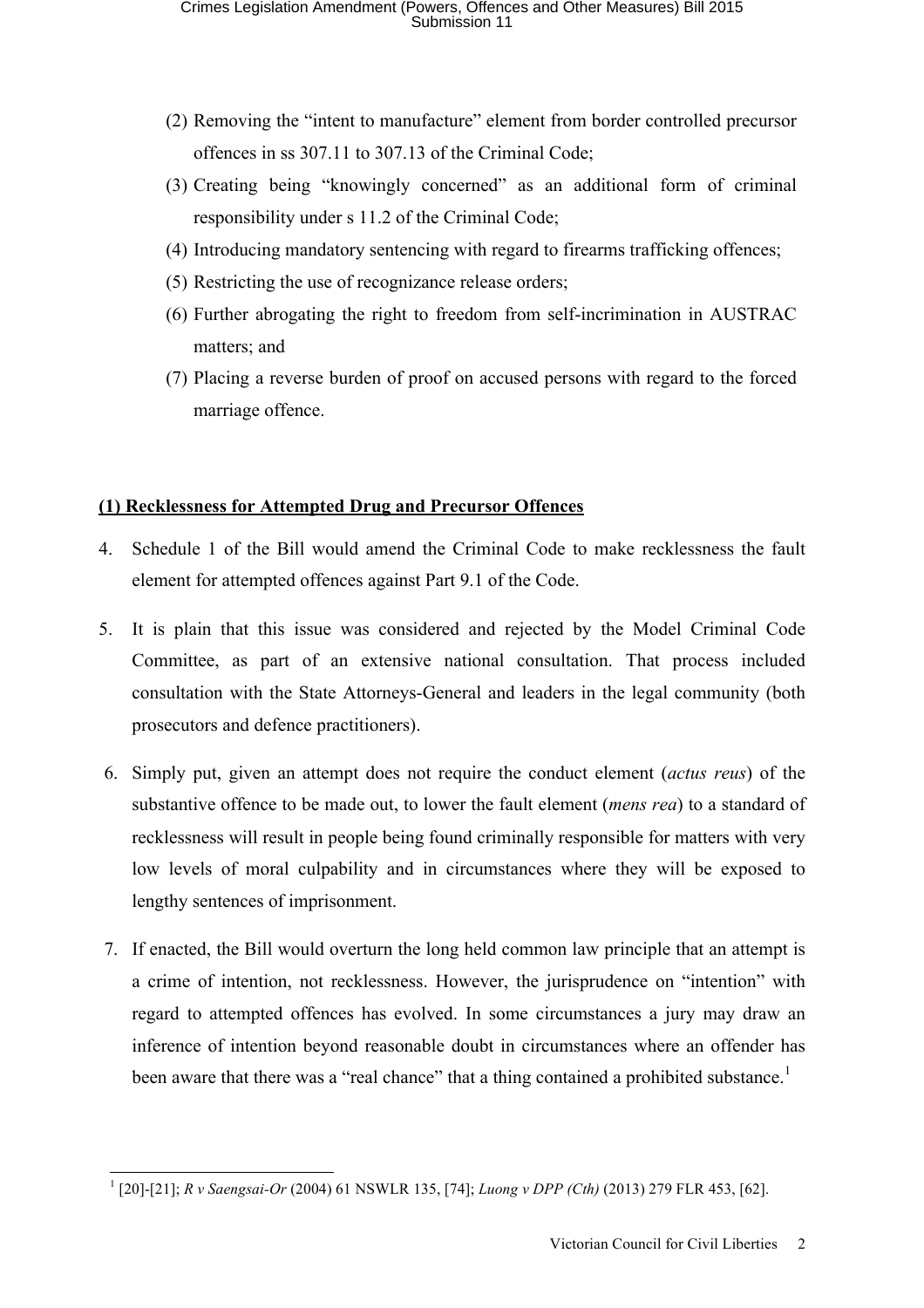- (2) Removing the "intent to manufacture" element from border controlled precursor offences in ss 307.11 to 307.13 of the Criminal Code;
- (3) Creating being "knowingly concerned" as an additional form of criminal responsibility under s 11.2 of the Criminal Code;
- (4) Introducing mandatory sentencing with regard to firearms trafficking offences;
- (5) Restricting the use of recognizance release orders;
- (6) Further abrogating the right to freedom from self-incrimination in AUSTRAC matters; and
- (7) Placing a reverse burden of proof on accused persons with regard to the forced marriage offence.

# **(1) Recklessness for Attempted Drug and Precursor Offences**

- 4. Schedule 1 of the Bill would amend the Criminal Code to make recklessness the fault element for attempted offences against Part 9.1 of the Code.
- 5. It is plain that this issue was considered and rejected by the Model Criminal Code Committee, as part of an extensive national consultation. That process included consultation with the State Attorneys-General and leaders in the legal community (both prosecutors and defence practitioners).
- 6. Simply put, given an attempt does not require the conduct element (*actus reus*) of the substantive offence to be made out, to lower the fault element (*mens rea*) to a standard of recklessness will result in people being found criminally responsible for matters with very low levels of moral culpability and in circumstances where they will be exposed to lengthy sentences of imprisonment.
- 7. If enacted, the Bill would overturn the long held common law principle that an attempt is a crime of intention, not recklessness. However, the jurisprudence on "intention" with regard to attempted offences has evolved. In some circumstances a jury may draw an inference of intention beyond reasonable doubt in circumstances where an offender has been aware that there was a "real chance" that a thing contained a prohibited substance.<sup>1</sup>

 <sup>1</sup> [20]-[21]; *R v Saengsai-Or* (2004) 61 NSWLR 135, [74]; *Luong v DPP (Cth)* (2013) 279 FLR 453, [62].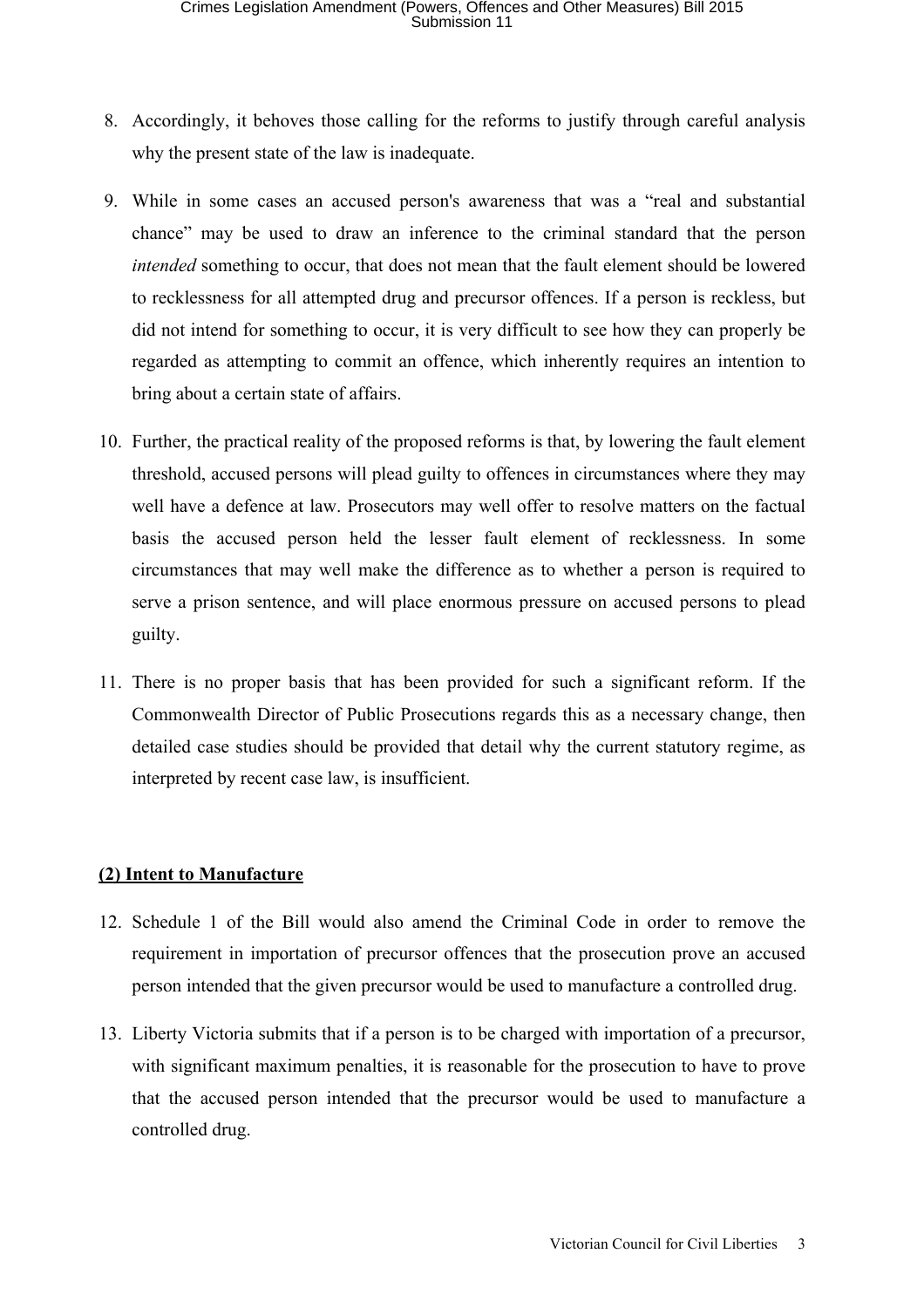- 8. Accordingly, it behoves those calling for the reforms to justify through careful analysis why the present state of the law is inadequate.
- 9. While in some cases an accused person's awareness that was a "real and substantial chance" may be used to draw an inference to the criminal standard that the person *intended* something to occur, that does not mean that the fault element should be lowered to recklessness for all attempted drug and precursor offences. If a person is reckless, but did not intend for something to occur, it is very difficult to see how they can properly be regarded as attempting to commit an offence, which inherently requires an intention to bring about a certain state of affairs.
- 10. Further, the practical reality of the proposed reforms is that, by lowering the fault element threshold, accused persons will plead guilty to offences in circumstances where they may well have a defence at law. Prosecutors may well offer to resolve matters on the factual basis the accused person held the lesser fault element of recklessness. In some circumstances that may well make the difference as to whether a person is required to serve a prison sentence, and will place enormous pressure on accused persons to plead guilty.
- 11. There is no proper basis that has been provided for such a significant reform. If the Commonwealth Director of Public Prosecutions regards this as a necessary change, then detailed case studies should be provided that detail why the current statutory regime, as interpreted by recent case law, is insufficient.

# **(2) Intent to Manufacture**

- 12. Schedule 1 of the Bill would also amend the Criminal Code in order to remove the requirement in importation of precursor offences that the prosecution prove an accused person intended that the given precursor would be used to manufacture a controlled drug.
- 13. Liberty Victoria submits that if a person is to be charged with importation of a precursor, with significant maximum penalties, it is reasonable for the prosecution to have to prove that the accused person intended that the precursor would be used to manufacture a controlled drug.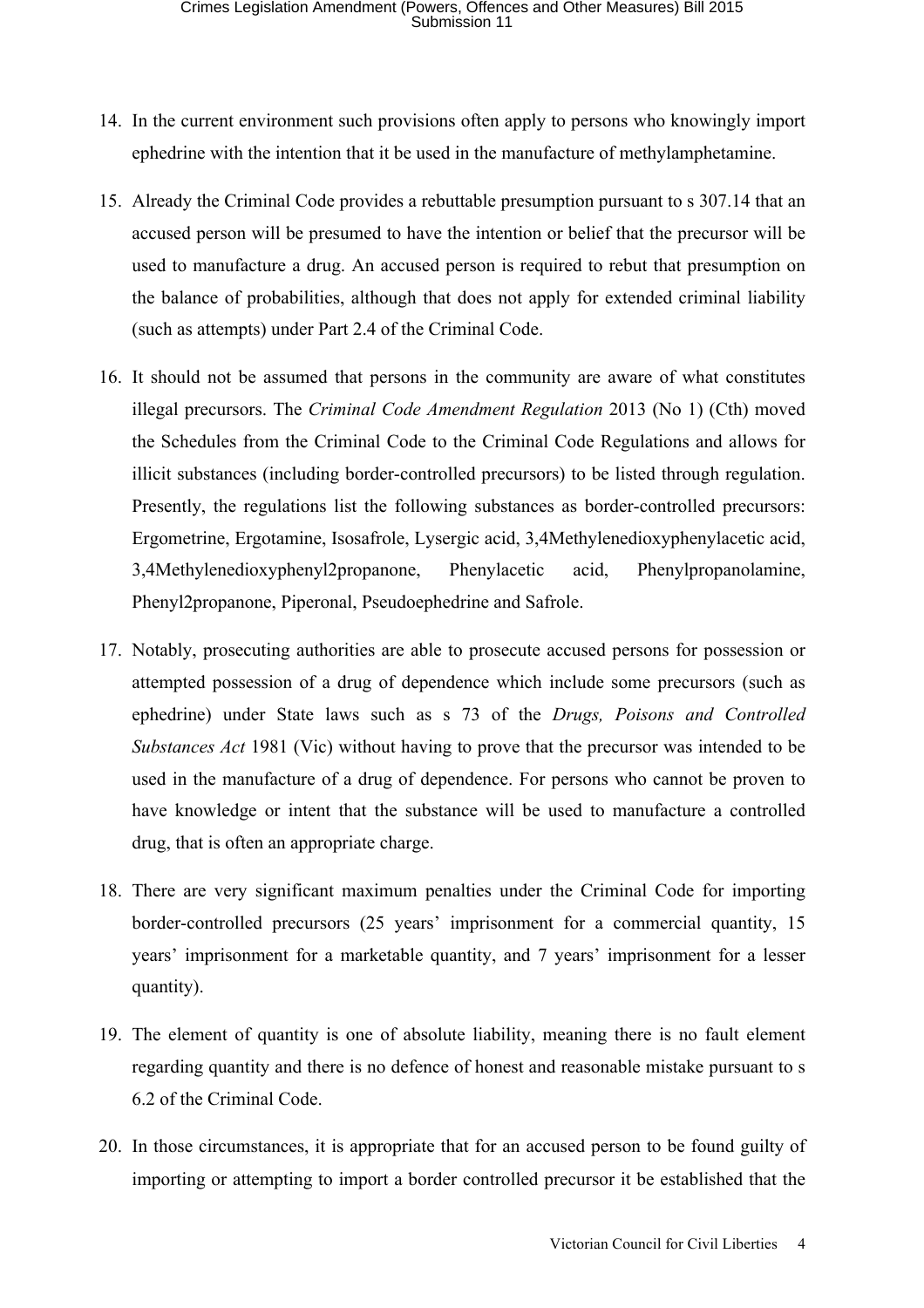- 14. In the current environment such provisions often apply to persons who knowingly import ephedrine with the intention that it be used in the manufacture of methylamphetamine.
- 15. Already the Criminal Code provides a rebuttable presumption pursuant to s 307.14 that an accused person will be presumed to have the intention or belief that the precursor will be used to manufacture a drug. An accused person is required to rebut that presumption on the balance of probabilities, although that does not apply for extended criminal liability (such as attempts) under Part 2.4 of the Criminal Code.
- 16. It should not be assumed that persons in the community are aware of what constitutes illegal precursors. The *Criminal Code Amendment Regulation* 2013 (No 1) (Cth) moved the Schedules from the Criminal Code to the Criminal Code Regulations and allows for illicit substances (including border-controlled precursors) to be listed through regulation. Presently, the regulations list the following substances as border-controlled precursors: Ergometrine, Ergotamine, Isosafrole, Lysergic acid, 3,4Methylenedioxyphenylacetic acid, 3,4Methylenedioxyphenyl2propanone, Phenylacetic acid, Phenylpropanolamine, Phenyl2propanone, Piperonal, Pseudoephedrine and Safrole.
- 17. Notably, prosecuting authorities are able to prosecute accused persons for possession or attempted possession of a drug of dependence which include some precursors (such as ephedrine) under State laws such as s 73 of the *Drugs, Poisons and Controlled Substances Act* 1981 (Vic) without having to prove that the precursor was intended to be used in the manufacture of a drug of dependence. For persons who cannot be proven to have knowledge or intent that the substance will be used to manufacture a controlled drug, that is often an appropriate charge.
- 18. There are very significant maximum penalties under the Criminal Code for importing border-controlled precursors (25 years' imprisonment for a commercial quantity, 15 years' imprisonment for a marketable quantity, and 7 years' imprisonment for a lesser quantity).
- 19. The element of quantity is one of absolute liability, meaning there is no fault element regarding quantity and there is no defence of honest and reasonable mistake pursuant to s 6.2 of the Criminal Code.
- 20. In those circumstances, it is appropriate that for an accused person to be found guilty of importing or attempting to import a border controlled precursor it be established that the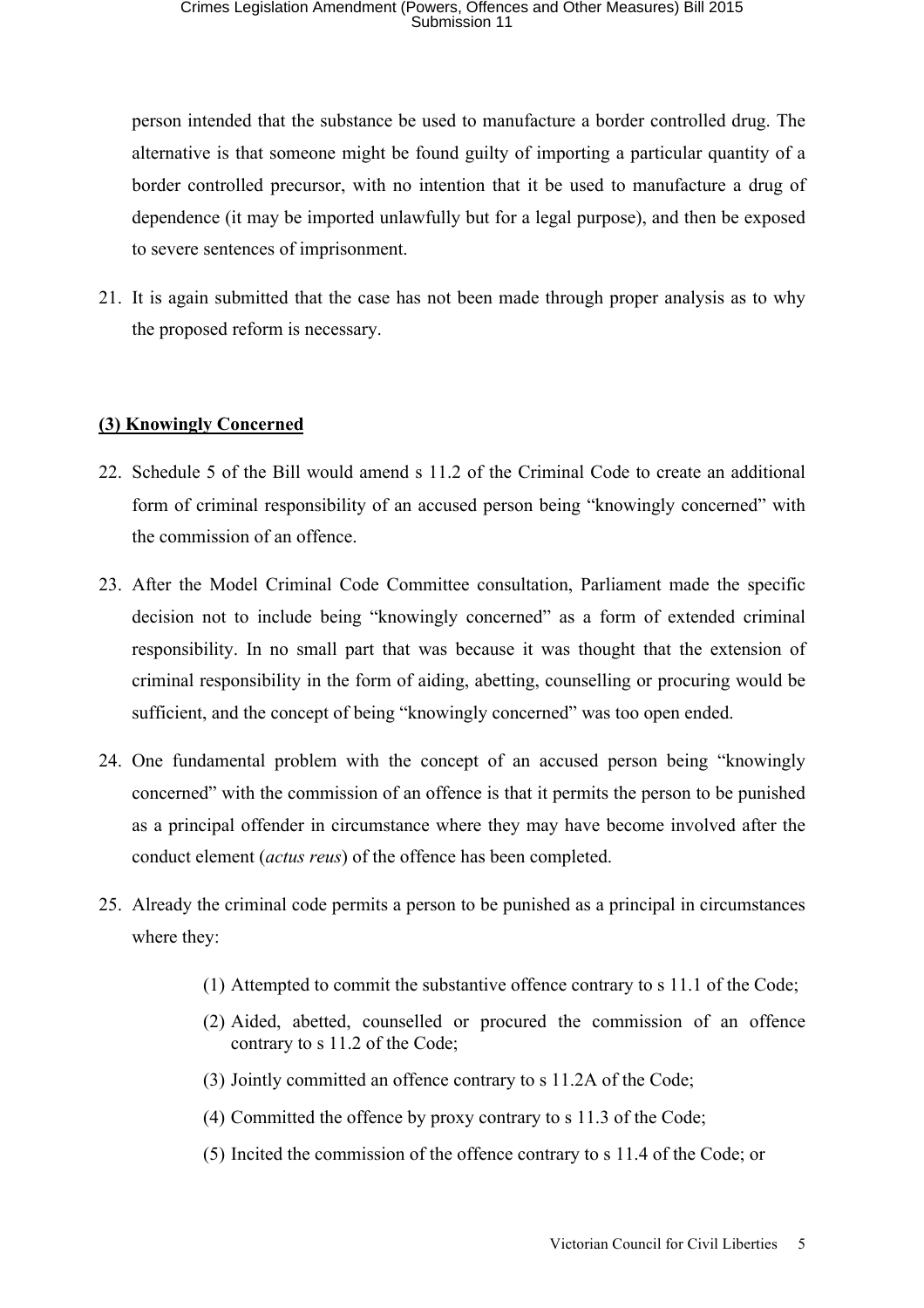person intended that the substance be used to manufacture a border controlled drug. The alternative is that someone might be found guilty of importing a particular quantity of a border controlled precursor, with no intention that it be used to manufacture a drug of dependence (it may be imported unlawfully but for a legal purpose), and then be exposed to severe sentences of imprisonment.

21. It is again submitted that the case has not been made through proper analysis as to why the proposed reform is necessary.

# **(3) Knowingly Concerned**

- 22. Schedule 5 of the Bill would amend s 11.2 of the Criminal Code to create an additional form of criminal responsibility of an accused person being "knowingly concerned" with the commission of an offence.
- 23. After the Model Criminal Code Committee consultation, Parliament made the specific decision not to include being "knowingly concerned" as a form of extended criminal responsibility. In no small part that was because it was thought that the extension of criminal responsibility in the form of aiding, abetting, counselling or procuring would be sufficient, and the concept of being "knowingly concerned" was too open ended.
- 24. One fundamental problem with the concept of an accused person being "knowingly concerned" with the commission of an offence is that it permits the person to be punished as a principal offender in circumstance where they may have become involved after the conduct element (*actus reus*) of the offence has been completed.
- 25. Already the criminal code permits a person to be punished as a principal in circumstances where they:
	- (1) Attempted to commit the substantive offence contrary to s 11.1 of the Code;
	- (2) Aided, abetted, counselled or procured the commission of an offence contrary to s 11.2 of the Code;
	- (3) Jointly committed an offence contrary to s 11.2A of the Code;
	- (4) Committed the offence by proxy contrary to s 11.3 of the Code;
	- (5) Incited the commission of the offence contrary to s 11.4 of the Code; or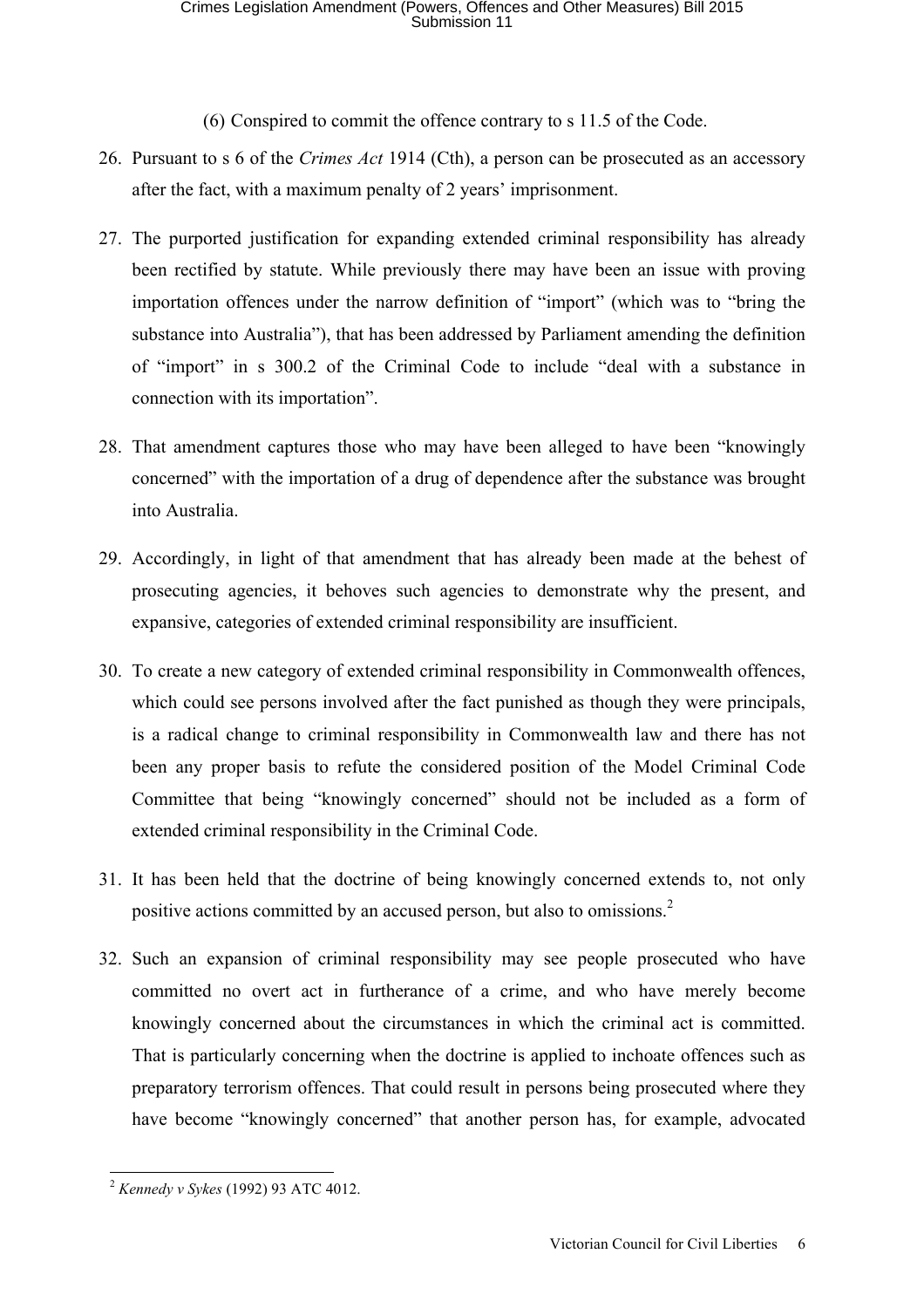(6) Conspired to commit the offence contrary to s 11.5 of the Code.

- 26. Pursuant to s 6 of the *Crimes Act* 1914 (Cth), a person can be prosecuted as an accessory after the fact, with a maximum penalty of 2 years' imprisonment.
- 27. The purported justification for expanding extended criminal responsibility has already been rectified by statute. While previously there may have been an issue with proving importation offences under the narrow definition of "import" (which was to "bring the substance into Australia"), that has been addressed by Parliament amending the definition of "import" in s 300.2 of the Criminal Code to include "deal with a substance in connection with its importation".
- 28. That amendment captures those who may have been alleged to have been "knowingly concerned" with the importation of a drug of dependence after the substance was brought into Australia.
- 29. Accordingly, in light of that amendment that has already been made at the behest of prosecuting agencies, it behoves such agencies to demonstrate why the present, and expansive, categories of extended criminal responsibility are insufficient.
- 30. To create a new category of extended criminal responsibility in Commonwealth offences, which could see persons involved after the fact punished as though they were principals, is a radical change to criminal responsibility in Commonwealth law and there has not been any proper basis to refute the considered position of the Model Criminal Code Committee that being "knowingly concerned" should not be included as a form of extended criminal responsibility in the Criminal Code.
- 31. It has been held that the doctrine of being knowingly concerned extends to, not only positive actions committed by an accused person, but also to omissions.<sup>2</sup>
- 32. Such an expansion of criminal responsibility may see people prosecuted who have committed no overt act in furtherance of a crime, and who have merely become knowingly concerned about the circumstances in which the criminal act is committed. That is particularly concerning when the doctrine is applied to inchoate offences such as preparatory terrorism offences. That could result in persons being prosecuted where they have become "knowingly concerned" that another person has, for example, advocated

 <sup>2</sup> *Kennedy v Sykes* (1992) 93 ATC 4012.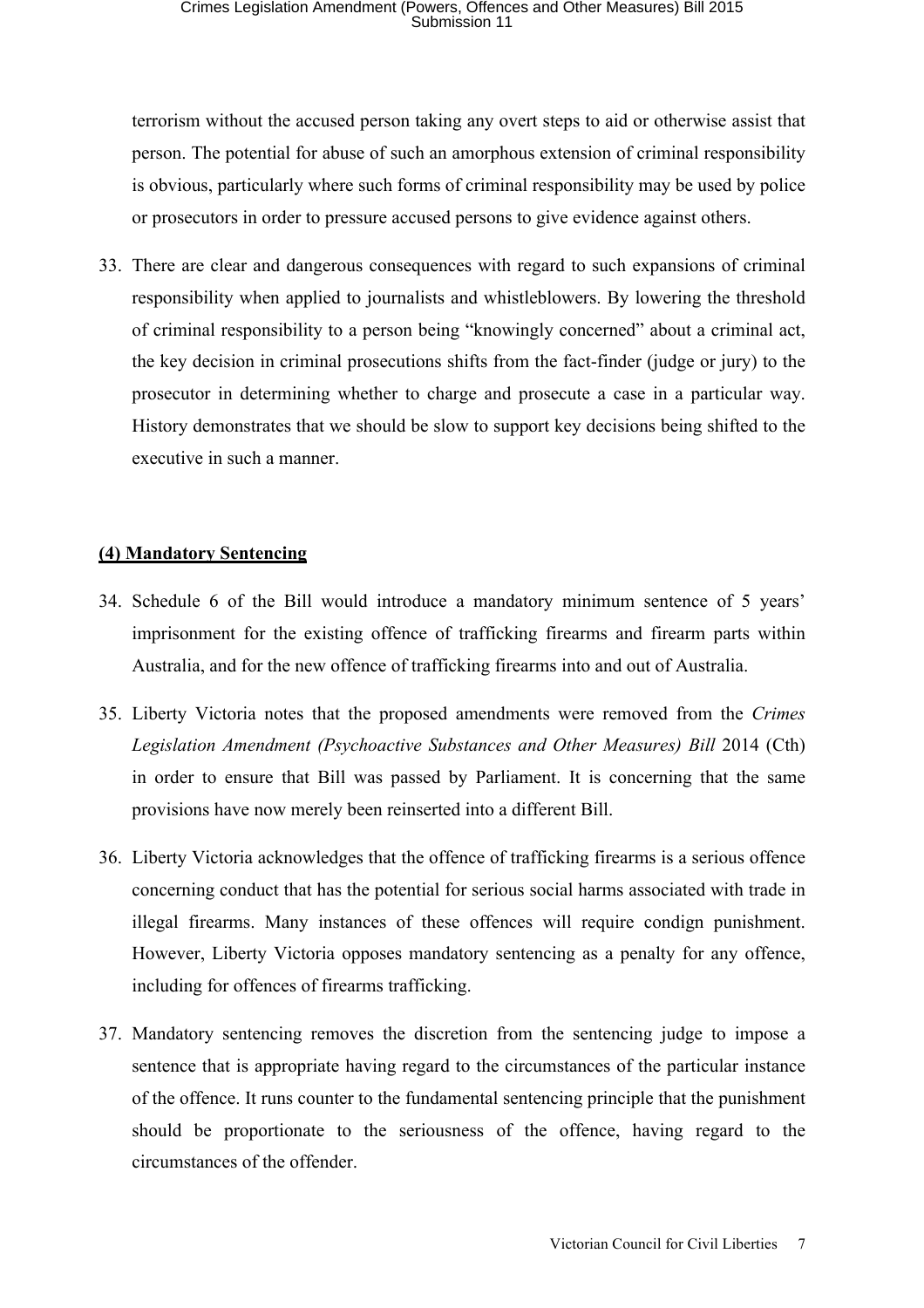terrorism without the accused person taking any overt steps to aid or otherwise assist that person. The potential for abuse of such an amorphous extension of criminal responsibility is obvious, particularly where such forms of criminal responsibility may be used by police or prosecutors in order to pressure accused persons to give evidence against others.

33. There are clear and dangerous consequences with regard to such expansions of criminal responsibility when applied to journalists and whistleblowers. By lowering the threshold of criminal responsibility to a person being "knowingly concerned" about a criminal act, the key decision in criminal prosecutions shifts from the fact-finder (judge or jury) to the prosecutor in determining whether to charge and prosecute a case in a particular way. History demonstrates that we should be slow to support key decisions being shifted to the executive in such a manner.

# **(4) Mandatory Sentencing**

- 34. Schedule 6 of the Bill would introduce a mandatory minimum sentence of 5 years' imprisonment for the existing offence of trafficking firearms and firearm parts within Australia, and for the new offence of trafficking firearms into and out of Australia.
- 35. Liberty Victoria notes that the proposed amendments were removed from the *Crimes Legislation Amendment (Psychoactive Substances and Other Measures) Bill* 2014 (Cth) in order to ensure that Bill was passed by Parliament. It is concerning that the same provisions have now merely been reinserted into a different Bill.
- 36. Liberty Victoria acknowledges that the offence of trafficking firearms is a serious offence concerning conduct that has the potential for serious social harms associated with trade in illegal firearms. Many instances of these offences will require condign punishment. However, Liberty Victoria opposes mandatory sentencing as a penalty for any offence, including for offences of firearms trafficking.
- 37. Mandatory sentencing removes the discretion from the sentencing judge to impose a sentence that is appropriate having regard to the circumstances of the particular instance of the offence. It runs counter to the fundamental sentencing principle that the punishment should be proportionate to the seriousness of the offence, having regard to the circumstances of the offender.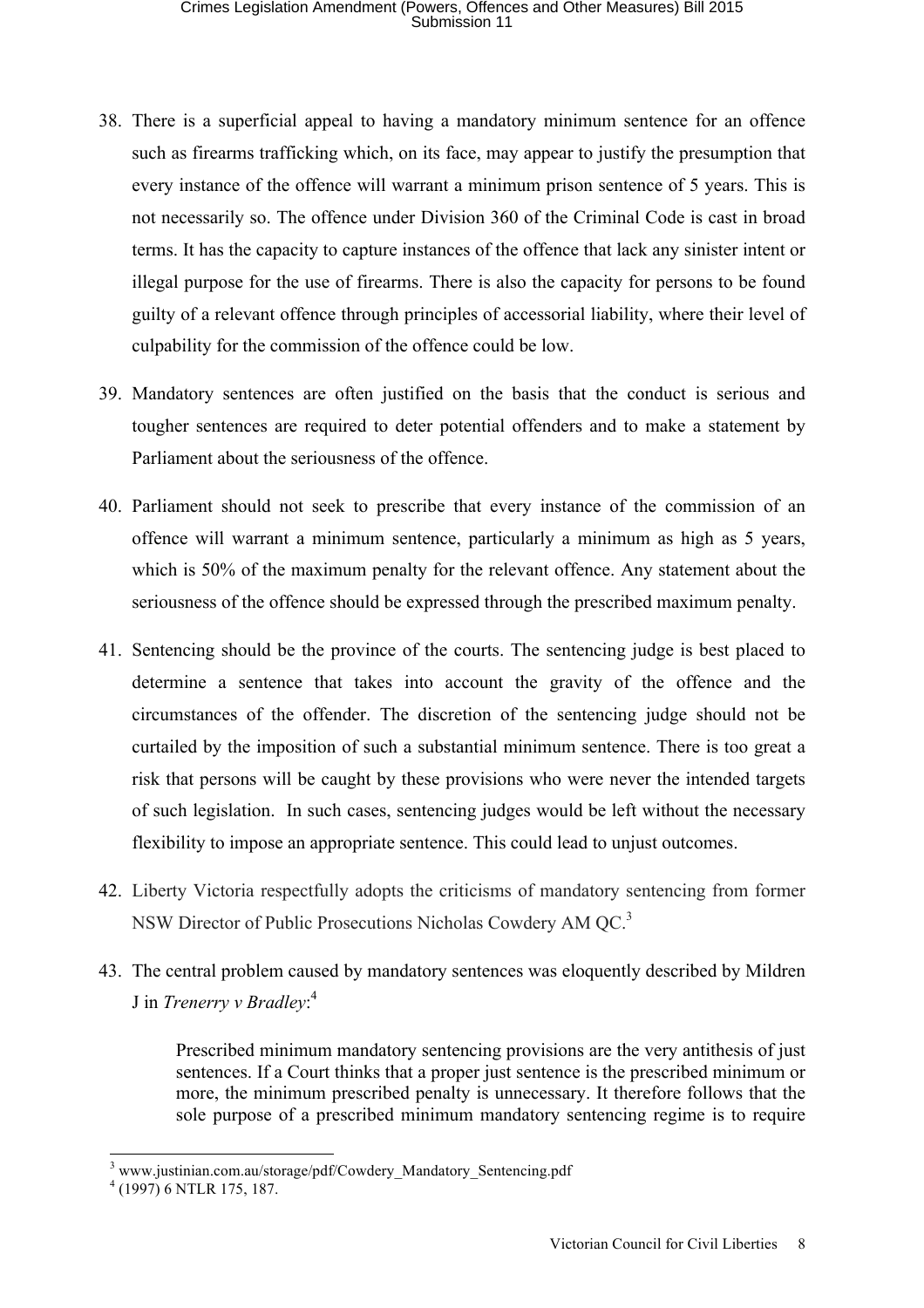- 38. There is a superficial appeal to having a mandatory minimum sentence for an offence such as firearms trafficking which, on its face, may appear to justify the presumption that every instance of the offence will warrant a minimum prison sentence of 5 years. This is not necessarily so. The offence under Division 360 of the Criminal Code is cast in broad terms. It has the capacity to capture instances of the offence that lack any sinister intent or illegal purpose for the use of firearms. There is also the capacity for persons to be found guilty of a relevant offence through principles of accessorial liability, where their level of culpability for the commission of the offence could be low.
- 39. Mandatory sentences are often justified on the basis that the conduct is serious and tougher sentences are required to deter potential offenders and to make a statement by Parliament about the seriousness of the offence.
- 40. Parliament should not seek to prescribe that every instance of the commission of an offence will warrant a minimum sentence, particularly a minimum as high as 5 years, which is 50% of the maximum penalty for the relevant offence. Any statement about the seriousness of the offence should be expressed through the prescribed maximum penalty.
- 41. Sentencing should be the province of the courts. The sentencing judge is best placed to determine a sentence that takes into account the gravity of the offence and the circumstances of the offender. The discretion of the sentencing judge should not be curtailed by the imposition of such a substantial minimum sentence. There is too great a risk that persons will be caught by these provisions who were never the intended targets of such legislation. In such cases, sentencing judges would be left without the necessary flexibility to impose an appropriate sentence. This could lead to unjust outcomes.
- 42. Liberty Victoria respectfully adopts the criticisms of mandatory sentencing from former NSW Director of Public Prosecutions Nicholas Cowdery AM QC.<sup>3</sup>
- 43. The central problem caused by mandatory sentences was eloquently described by Mildren J in *Trenerry v Bradley*: 4

Prescribed minimum mandatory sentencing provisions are the very antithesis of just sentences. If a Court thinks that a proper just sentence is the prescribed minimum or more, the minimum prescribed penalty is unnecessary. It therefore follows that the sole purpose of a prescribed minimum mandatory sentencing regime is to require

<sup>&</sup>lt;sup>3</sup> www.justinian.com.au/storage/pdf/Cowdery\_Mandatory\_Sentencing.pdf

 $(1997)$  6 NTLR 175, 187.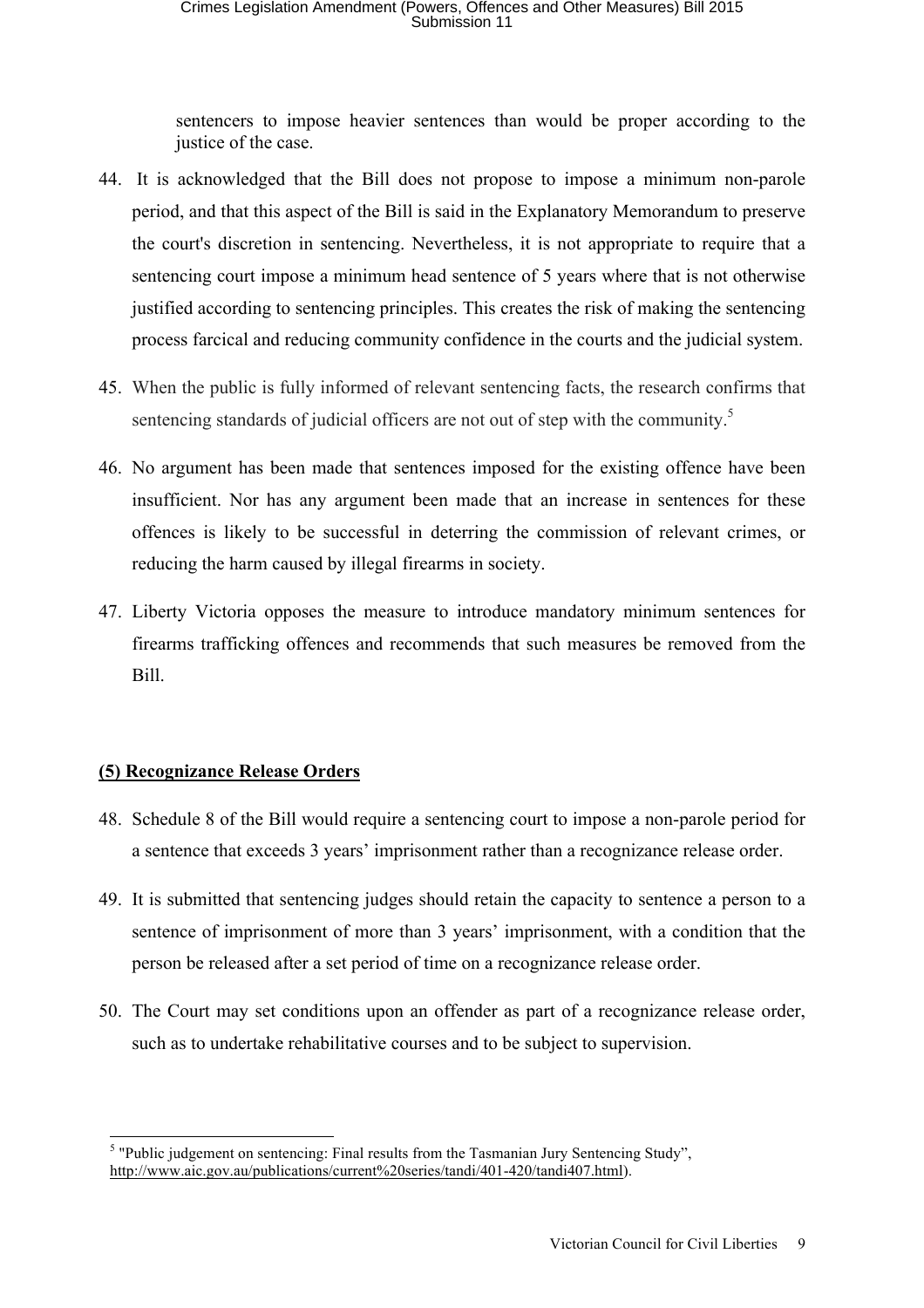sentencers to impose heavier sentences than would be proper according to the justice of the case.

- 44. It is acknowledged that the Bill does not propose to impose a minimum non-parole period, and that this aspect of the Bill is said in the Explanatory Memorandum to preserve the court's discretion in sentencing. Nevertheless, it is not appropriate to require that a sentencing court impose a minimum head sentence of 5 years where that is not otherwise justified according to sentencing principles. This creates the risk of making the sentencing process farcical and reducing community confidence in the courts and the judicial system.
- 45. When the public is fully informed of relevant sentencing facts, the research confirms that sentencing standards of judicial officers are not out of step with the community. $5$
- 46. No argument has been made that sentences imposed for the existing offence have been insufficient. Nor has any argument been made that an increase in sentences for these offences is likely to be successful in deterring the commission of relevant crimes, or reducing the harm caused by illegal firearms in society.
- 47. Liberty Victoria opposes the measure to introduce mandatory minimum sentences for firearms trafficking offences and recommends that such measures be removed from the Bill.

# **(5) Recognizance Release Orders**

- 48. Schedule 8 of the Bill would require a sentencing court to impose a non-parole period for a sentence that exceeds 3 years' imprisonment rather than a recognizance release order.
- 49. It is submitted that sentencing judges should retain the capacity to sentence a person to a sentence of imprisonment of more than 3 years' imprisonment, with a condition that the person be released after a set period of time on a recognizance release order.
- 50. The Court may set conditions upon an offender as part of a recognizance release order, such as to undertake rehabilitative courses and to be subject to supervision.

 <sup>5</sup> "Public judgement on sentencing: Final results from the Tasmanian Jury Sentencing Study", http://www.aic.gov.au/publications/current%20series/tandi/401-420/tandi407.html).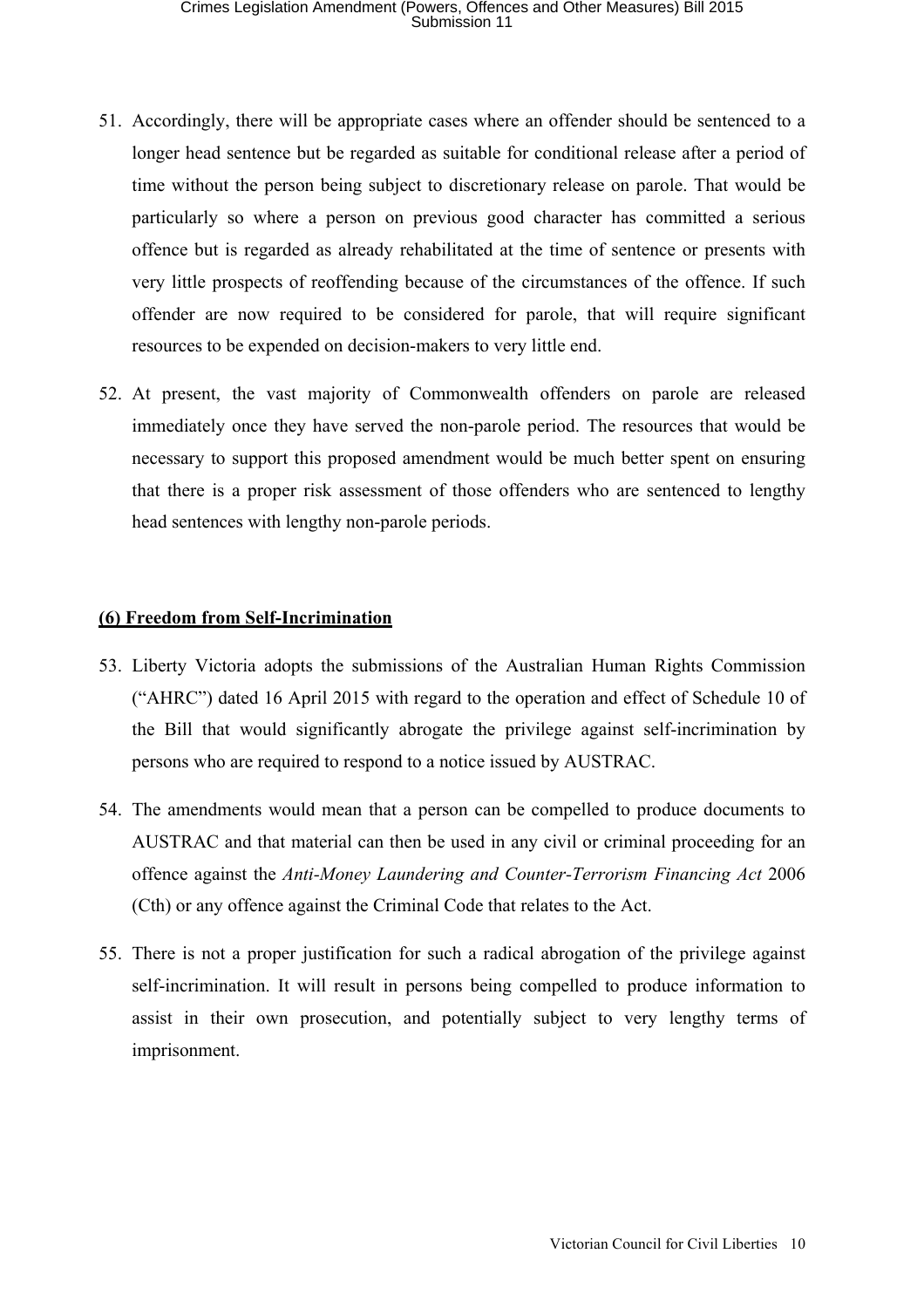- 51. Accordingly, there will be appropriate cases where an offender should be sentenced to a longer head sentence but be regarded as suitable for conditional release after a period of time without the person being subject to discretionary release on parole. That would be particularly so where a person on previous good character has committed a serious offence but is regarded as already rehabilitated at the time of sentence or presents with very little prospects of reoffending because of the circumstances of the offence. If such offender are now required to be considered for parole, that will require significant resources to be expended on decision-makers to very little end.
- 52. At present, the vast majority of Commonwealth offenders on parole are released immediately once they have served the non-parole period. The resources that would be necessary to support this proposed amendment would be much better spent on ensuring that there is a proper risk assessment of those offenders who are sentenced to lengthy head sentences with lengthy non-parole periods.

#### **(6) Freedom from Self-Incrimination**

- 53. Liberty Victoria adopts the submissions of the Australian Human Rights Commission ("AHRC") dated 16 April 2015 with regard to the operation and effect of Schedule 10 of the Bill that would significantly abrogate the privilege against self-incrimination by persons who are required to respond to a notice issued by AUSTRAC.
- 54. The amendments would mean that a person can be compelled to produce documents to AUSTRAC and that material can then be used in any civil or criminal proceeding for an offence against the *Anti-Money Laundering and Counter-Terrorism Financing Act* 2006 (Cth) or any offence against the Criminal Code that relates to the Act.
- 55. There is not a proper justification for such a radical abrogation of the privilege against self-incrimination. It will result in persons being compelled to produce information to assist in their own prosecution, and potentially subject to very lengthy terms of imprisonment.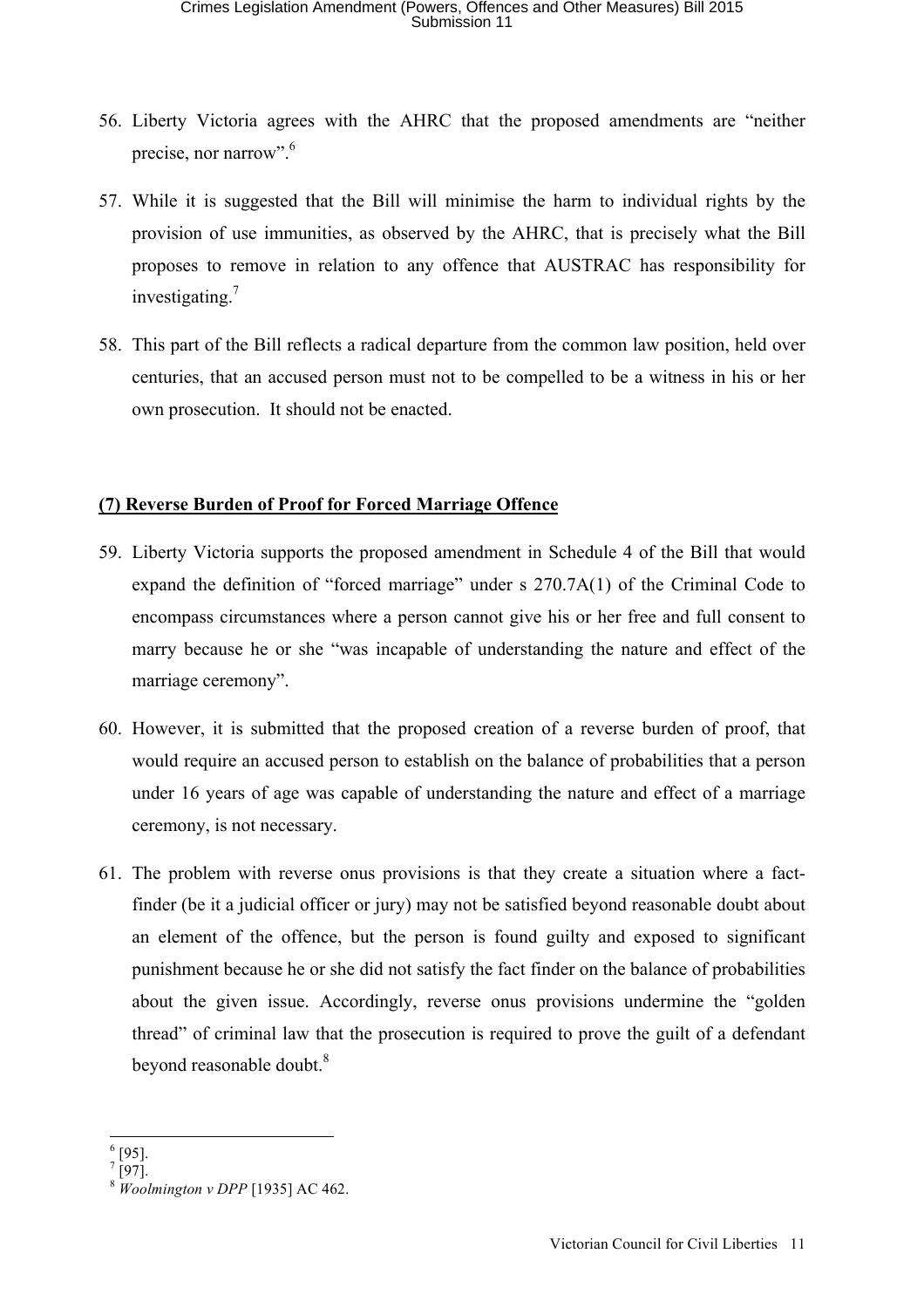- 56. Liberty Victoria agrees with the AHRC that the proposed amendments are "neither precise, nor narrow".<sup>6</sup>
- 57. While it is suggested that the Bill will minimise the harm to individual rights by the provision of use immunities, as observed by the AHRC, that is precisely what the Bill proposes to remove in relation to any offence that AUSTRAC has responsibility for investigating.<sup>7</sup>
- 58. This part of the Bill reflects a radical departure from the common law position, held over centuries, that an accused person must not to be compelled to be a witness in his or her own prosecution. It should not be enacted.

# **(7) Reverse Burden of Proof for Forced Marriage Offence**

- 59. Liberty Victoria supports the proposed amendment in Schedule 4 of the Bill that would expand the definition of "forced marriage" under s 270.7A(1) of the Criminal Code to encompass circumstances where a person cannot give his or her free and full consent to marry because he or she "was incapable of understanding the nature and effect of the marriage ceremony".
- 60. However, it is submitted that the proposed creation of a reverse burden of proof, that would require an accused person to establish on the balance of probabilities that a person under 16 years of age was capable of understanding the nature and effect of a marriage ceremony, is not necessary.
- 61. The problem with reverse onus provisions is that they create a situation where a factfinder (be it a judicial officer or jury) may not be satisfied beyond reasonable doubt about an element of the offence, but the person is found guilty and exposed to significant punishment because he or she did not satisfy the fact finder on the balance of probabilities about the given issue. Accordingly, reverse onus provisions undermine the "golden thread" of criminal law that the prosecution is required to prove the guilt of a defendant beyond reasonable doubt.<sup>8</sup>

 $6051$  $\frac{6}{7}$  [95].<br> $\frac{7}{1071}$ 

 <sup>[97].</sup>

<sup>8</sup> *Woolmington v DPP* [1935] AC 462.